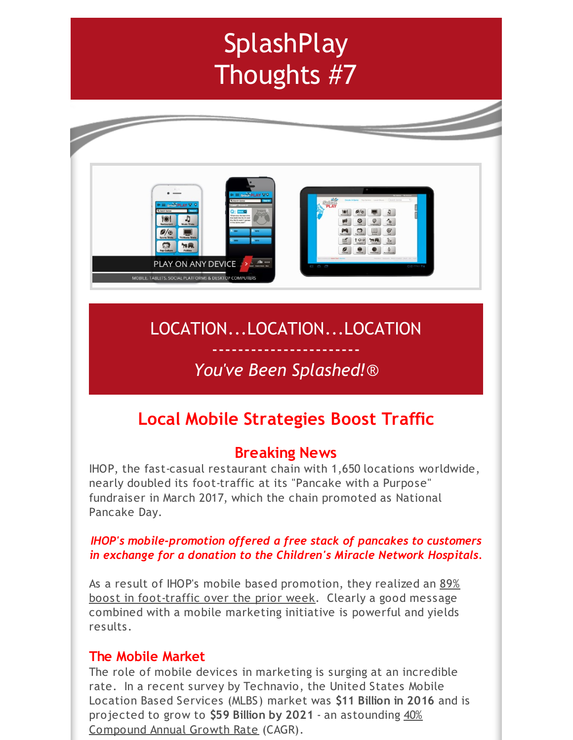# **SplashPlay** Thoughts #7



# LOCATION...LOCATION...LOCATION

# ----------------------- *You've Been Splashed!*®

# **Local Mobile Strategies Boost Traffic**

## **Breaking News**

IHOP, the fast-casual restaurant chain with 1,650 locations worldwide, nearly doubled its foot-traffic at its "Pancake with a Purpose" fundraiser in March 2017, which the chain promoted as National Pancake Day.

#### *IHOP's mobile-promotion offered a free stack of pancakes to customers in exchange for a donation to the Children's Miracle Network Hospitals.*

As a result of IHOP's mobile based promotion, they realized an 89% boost in foot-traffic over the prior week. Clearly a good message combined with a mobile marketing initiative is powerful and yields results.

### **The Mobile Market**

The role of mobile devices in marketing is surging at an incredible rate. In a recent survey by Technavio, the United States Mobile Location Based Services (MLBS) market was **\$11 Billion in 2016** and is projected to grow to **\$59 Billion by 2021** - an astounding 40% Compound Annual Growth Rate (CAGR).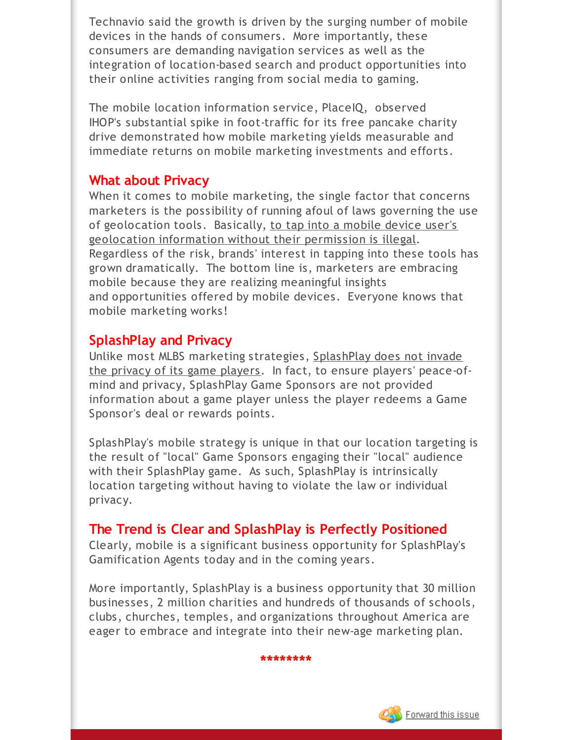Technavio said the growth is driven by the surging number of mobile devices in the hands of consumers. More importantly, these consumers are demanding navigation services as well as the integration of location-based search and product opportunities into their online activities ranging from social media to gaming.

The mobile location information service, PlaceIQ, observed IHOP's substantial spike in foot-traffic for its free pancake charity drive demonstrated how mobile marketing yields measurable and immediate returns on mobile marketing investments and efforts.

#### **What about Privacy**

When it comes to mobile marketing, the single factor that concerns marketers is the possibility of running afoul of laws governing the use of geolocation tools. Basically, to tap into a mobile device user's geolocation information without their permission is illegal. Regardless of the risk, brands' interest in tapping into these tools has grown dramatically. The bottom line is, marketers are embracing mobile because they are realizing meaningful insights and opportunities offered by mobile devices. Everyone knows that mobile marketing works!

### **SplashPlay and Privacy**

Unlike most MLBS marketing strategies, SplashPlay does not invade the privacy of its game players. In fact, to ensure players' peace-ofmind and privacy, SplashPlay Game Sponsors are not provided information about a game player unless the player redeems a Game Sponsor's deal or rewards points.

SplashPlay's mobile strategy is unique in that our location targeting is the result of "local" Game Sponsors engaging their "local" audience with their SplashPlay game. As such, SplashPlay is intrinsically location targeting without having to violate the law or individual privacy.

### **The Trend is Clear and SplashPlay is Perfectly Positioned**

Clearly, mobile is a significant business opportunity for SplashPlay's Gamification Agents today and in the coming years.

More importantly, SplashPlay is a business opportunity that 30 million businesses, 2 million charities and hundreds of thousands of schools, clubs, churches, temples, and organizations throughout America are eager to embrace and integrate into their new-age marketing plan.

**\*\*\*\*\*\*\*\***